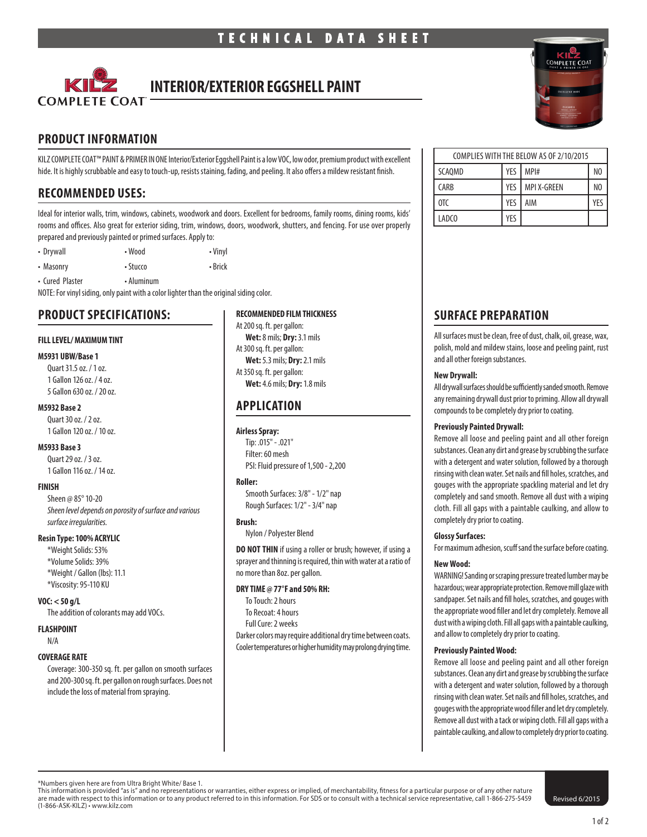

# **INTERIOR/EXTERIOR EGGSHELL PAINT**

# **PRODUCT INFORMATION**

KILZ COMPLETE COAT™ PAINT & PRIMER IN ONE Interior/Exterior Eggshell Paint is a low VOC, low odor, premium product with excellent hide. It is highly scrubbable and easy to touch-up, resists staining, fading, and peeling. It also offers a mildew resistant finish.

# **RECOMMENDED USES:**

Ideal for interior walls, trim, windows, cabinets, woodwork and doors. Excellent for bedrooms, family rooms, dining rooms, kids' rooms and offices. Also great for exterior siding, trim, windows, doors, woodwork, shutters, and fencing. For use over properly prepared and previously painted or primed surfaces. Apply to:

• Drywall • Wood • Vinyl • Masonry • Stucco • Prick

• Cured Plaster • Aluminum

NOTE: For vinyl siding, only paint with a color lighter than the original siding color.

### **PRODUCT SPECIFICATIONS:**

#### **FILL LEVEL/ MAXIMUM TINT**

#### **M5931 UBW/Base 1**

Quart 31.5 oz. / 1 oz. 1 Gallon 126 oz. / 4 oz. 5 Gallon 630 oz. / 20 oz.

#### **M5932 Base 2**

Quart 30 oz. / 2 oz. 1 Gallon 120 oz. / 10 oz.

#### **M5933 Base 3**

Quart 29 oz. / 3 oz. 1 Gallon 116 oz. / 14 oz.

#### **FINISH**

Sheen @ 85° 10-20 *Sheen level depends on porosity of surface and various surface irregularities.*

#### **Resin Type: 100% ACRYLIC**

\*Weight Solids: 53% \*Volume Solids: 39% \*Weight / Gallon (lbs): 11.1 \*Viscosity: 95-110 KU

#### **VOC: < 50 g/L**

The addition of colorants may add VOCs.

### **FLASHPOINT**

N/A

#### **COVERAGE RATE**

Coverage: 300-350 sq. ft. per gallon on smooth surfaces and 200-300 sq. ft. per gallon on rough surfaces. Does not include the loss of material from spraying.

### **RECOMMENDED FILM THICKNESS**

At 200 sq. ft. per gallon: **Wet:** 8 mils; **Dry:** 3.1 mils At 300 sq. ft. per gallon: **Wet:** 5.3 mils; **Dry:** 2.1 mils At 350 sq. ft. per gallon: **Wet:** 4.6 mils; **Dry:** 1.8 mils

# **APPLICATION**

### **Airless Spray:**

Tip: .015" - .021" Filter: 60 mesh PSI: Fluid pressure of 1,500 - 2,200

#### **Roller:**

Smooth Surfaces: 3/8" - 1/2" nap Rough Surfaces: 1/2" - 3/4" nap

#### **Brush:**

Nylon / Polyester Blend

**DO NOT THIN** if using a roller or brush; however, if using a sprayer and thinning is required, thin with water at a ratio of no more than 8oz. per gallon.

#### **DRY TIME @ 77°F and 50% RH:**

To Touch: 2 hours To Recoat: 4 hours

Full Cure: 2 weeks

Darker colors may require additional dry time between coats. Cooler temperatures or higher humidity may prolong drying time.



| COMPLIES WITH THE BELOW AS OF 2/10/2015 |     |             |                |
|-----------------------------------------|-----|-------------|----------------|
| SCAQMD                                  | YES | MPI#        | N <sub>0</sub> |
| <b>CARB</b>                             | YES | MPI X-GREEN | N <sub>0</sub> |
| OTC                                     | YES | AIM         | YFS            |
| LADCO                                   | YES |             |                |

# **SURFACE PREPARATION**

All surfaces must be clean, free of dust, chalk, oil, grease, wax, polish, mold and mildew stains, loose and peeling paint, rust and all other foreign substances.

#### **New Drywall:**

All drywall surfaces should be sufficiently sanded smooth. Remove any remaining drywall dust prior to priming. Allow all drywall compounds to be completely dry prior to coating.

#### **Previously Painted Drywall:**

Remove all loose and peeling paint and all other foreign substances. Clean any dirt and grease by scrubbing the surface with a detergent and water solution, followed by a thorough rinsing with clean water. Set nails and fill holes, scratches, and gouges with the appropriate spackling material and let dry completely and sand smooth. Remove all dust with a wiping cloth. Fill all gaps with a paintable caulking, and allow to completely dry prior to coating.

#### **Glossy Surfaces:**

For maximum adhesion, scuff sand the surface before coating.

#### **New Wood:**

WARNING! Sanding or scraping pressure treated lumber may be hazardous; wear appropriate protection. Remove mill glaze with sandpaper. Set nails and fill holes, scratches, and gouges with the appropriate wood filler and let dry completely. Remove all dust with a wiping cloth. Fill all gaps with a paintable caulking, and allow to completely dry prior to coating.

#### **Previously Painted Wood:**

Remove all loose and peeling paint and all other foreign substances. Clean any dirt and grease by scrubbing the surface with a detergent and water solution, followed by a thorough rinsing with clean water. Set nails and fill holes, scratches, and gouges with the appropriate wood filler and let dry completely. Remove all dust with a tack or wiping cloth. Fill all gaps with a paintable caulking, and allow to completely dry prior to coating.

\*Numbers given here are from Ultra Bright White/ Base 1.

This information is provided "as is" and no representations or warranties, either express or implied, of merchantability, fitness for a particular purpose or of any other nature<br>are made with respect to this information or (1-866-ASK-KILZ) • www.kilz.com